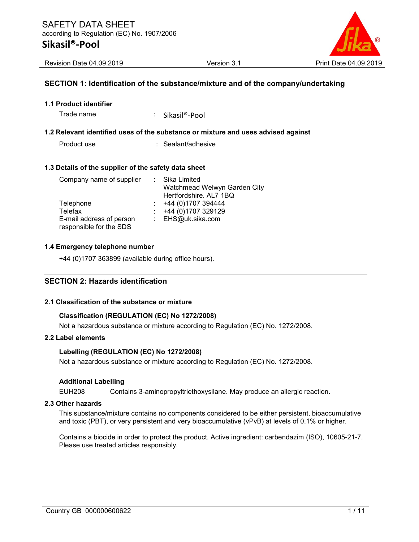

#### SECTION 1: Identification of the substance/mixture and of the company/undertaking

1.1 Product identifier

Trade name : Sikasil®-Pool

#### 1.2 Relevant identified uses of the substance or mixture and uses advised against

Product use : Sealant/adhesive

#### 1.3 Details of the supplier of the safety data sheet

| Company name of supplier | : Sika Limited               |
|--------------------------|------------------------------|
|                          | Watchmead Welwyn Garden City |
|                          | Hertfordshire. AL7 1BQ       |
| Telephone                | +44 (0)1707 394444           |
| Telefax                  | +44 (0)1707 329129           |
| E-mail address of person | : EHS@uk.sika.com            |
| responsible for the SDS  |                              |

#### 1.4 Emergency telephone number

+44 (0)1707 363899 (available during office hours).

### SECTION 2: Hazards identification

#### 2.1 Classification of the substance or mixture

#### Classification (REGULATION (EC) No 1272/2008)

Not a hazardous substance or mixture according to Regulation (EC) No. 1272/2008.

#### 2.2 Label elements

#### Labelling (REGULATION (EC) No 1272/2008)

Not a hazardous substance or mixture according to Regulation (EC) No. 1272/2008.

#### Additional Labelling

EUH208 Contains 3-aminopropyltriethoxysilane. May produce an allergic reaction.

#### 2.3 Other hazards

This substance/mixture contains no components considered to be either persistent, bioaccumulative and toxic (PBT), or very persistent and very bioaccumulative (vPvB) at levels of 0.1% or higher.

Contains a biocide in order to protect the product. Active ingredient: carbendazim (ISO), 10605-21-7. Please use treated articles responsibly.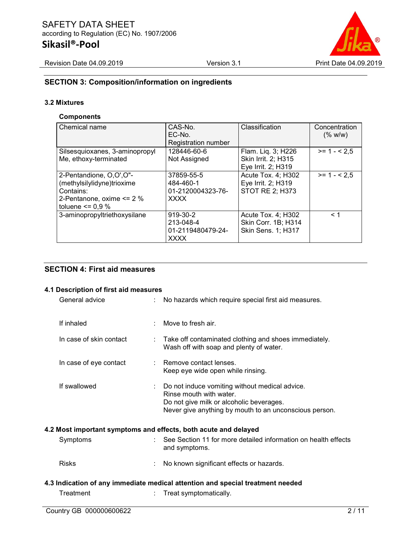

## SECTION 3: Composition/information on ingredients

## 3.2 Mixtures

### **Components**

| Chemical name                                                                                                           | CAS-No.<br>$EC-NO$<br>Registration number                   | Classification                                                                | Concentration<br>(% w/w) |
|-------------------------------------------------------------------------------------------------------------------------|-------------------------------------------------------------|-------------------------------------------------------------------------------|--------------------------|
| Silsesquioxanes, 3-aminopropyl<br>Me, ethoxy-terminated                                                                 | 128446-60-6<br>Not Assigned                                 | Flam. Liq. 3; H226<br>Skin Irrit. 2: H315<br>Eye Irrit. 2; H319               | $>= 1 - 2.5$             |
| 2-Pentandione, O,O',O"-<br>(methylsilylidyne)trioxime<br>Contains:<br>2-Pentanone, oxime <= 2 %<br>toluene $\leq$ 0.9 % | 37859-55-5<br>484-460-1<br>01-2120004323-76-<br><b>XXXX</b> | Acute Tox. 4; H302<br>Eye Irrit. 2; H319<br>STOT RE 2; H373                   | $>= 1 - 2.5$             |
| 3-aminopropyltriethoxysilane                                                                                            | 919-30-2<br>213-048-4<br>01-2119480479-24-<br><b>XXXX</b>   | Acute Tox. 4; H302<br><b>Skin Corr. 1B; H314</b><br><b>Skin Sens. 1; H317</b> | < 1                      |

## SECTION 4: First aid measures

#### 4.1 Description of first aid measures

| General advice          |    | No hazards which require special first aid measures.                                                                                                                            |
|-------------------------|----|---------------------------------------------------------------------------------------------------------------------------------------------------------------------------------|
| If inhaled              | t. | Move to fresh air.                                                                                                                                                              |
| In case of skin contact | ÷  | Take off contaminated clothing and shoes immediately.<br>Wash off with soap and plenty of water.                                                                                |
| In case of eye contact  |    | Remove contact lenses.<br>Keep eye wide open while rinsing.                                                                                                                     |
| If swallowed            |    | Do not induce vomiting without medical advice.<br>Rinse mouth with water.<br>Do not give milk or alcoholic beverages.<br>Never give anything by mouth to an unconscious person. |
|                         |    | 4.2 Most important symptoms and effects, both acute and delayed                                                                                                                 |
| Symptoms                | t. | See Section 11 for more detailed information on health effects<br>and symptoms.                                                                                                 |
| <b>Risks</b>            |    | No known significant effects or hazards.                                                                                                                                        |
|                         |    | 4.3 Indication of any immediate medical attention and special treatment needed                                                                                                  |
| Treatment               |    | Treat symptomatically.                                                                                                                                                          |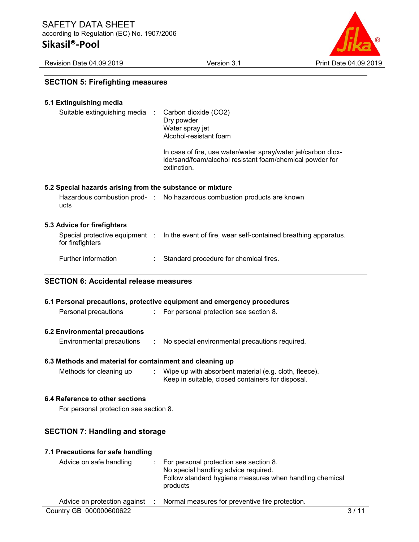Revision Date 04.09.2019 Version 3.1 Print Date 04.09.2019

| <b>SECTION 5: Firefighting measures</b> |  |  |
|-----------------------------------------|--|--|
|-----------------------------------------|--|--|

| 5.1 Extinguishing media<br>Suitable extinguishing media<br>- 11 | Carbon dioxide (CO2)<br>Dry powder                                                                                                       |
|-----------------------------------------------------------------|------------------------------------------------------------------------------------------------------------------------------------------|
|                                                                 | Water spray jet<br>Alcohol-resistant foam                                                                                                |
|                                                                 | In case of fire, use water/water spray/water jet/carbon diox-<br>ide/sand/foam/alcohol resistant foam/chemical powder for<br>extinction. |
| 5.2 Special hazards arising from the substance or mixture       |                                                                                                                                          |
| ucts                                                            | Hazardous combustion prod- : No hazardous combustion products are known                                                                  |
| 5.3 Advice for firefighters                                     |                                                                                                                                          |
| for firefighters                                                | Special protective equipment : In the event of fire, wear self-contained breathing apparatus.                                            |
| Further information<br>÷.                                       | Standard procedure for chemical fires.                                                                                                   |
| <b>SECTION 6: Accidental release measures</b>                   |                                                                                                                                          |
|                                                                 | 6.1 Personal precautions, protective equipment and emergency procedures                                                                  |
| Personal precautions                                            | : For personal protection see section 8.                                                                                                 |
| <b>6.2 Environmental precautions</b>                            |                                                                                                                                          |
| <b>Environmental precautions</b>                                | No special environmental precautions required.                                                                                           |

#### 6.3 Methods and material for containment and cleaning up

Methods for cleaning up : Wipe up with absorbent material (e.g. cloth, fleece). Keep in suitable, closed containers for disposal.

#### 6.4 Reference to other sections

For personal protection see section 8.

#### SECTION 7: Handling and storage

#### 7.1 Precautions for safe handling

| Advice on safe handling | For personal protection see section 8.<br>No special handling advice required.<br>Follow standard hygiene measures when handling chemical<br>products |  |
|-------------------------|-------------------------------------------------------------------------------------------------------------------------------------------------------|--|
|                         | Advice on protection against : Normal measures for preventive fire protection.                                                                        |  |
| Country GB 000000600622 |                                                                                                                                                       |  |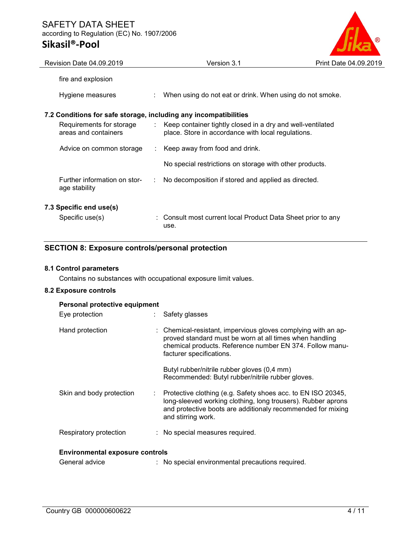## SAFETY DATA SHEET according to Regulation (EC) No. 1907/2006 Sikasil®-Pool



| Revision Date 04.09.2019                                         | Version 3.1                                                                                                        | Print Date 04.09.2019 |
|------------------------------------------------------------------|--------------------------------------------------------------------------------------------------------------------|-----------------------|
| fire and explosion                                               |                                                                                                                    |                       |
| Hygiene measures                                                 | When using do not eat or drink. When using do not smoke.                                                           |                       |
| 7.2 Conditions for safe storage, including any incompatibilities |                                                                                                                    |                       |
| Requirements for storage<br>areas and containers                 | : Keep container tightly closed in a dry and well-ventilated<br>place. Store in accordance with local regulations. |                       |
| Advice on common storage                                         | $\therefore$ Keep away from food and drink.                                                                        |                       |
|                                                                  | No special restrictions on storage with other products.                                                            |                       |
| Further information on stor-<br>age stability                    | No decomposition if stored and applied as directed.                                                                |                       |
| 7.3 Specific end use(s)                                          |                                                                                                                    |                       |
| Specific use(s)                                                  | : Consult most current local Product Data Sheet prior to any<br>use.                                               |                       |

## SECTION 8: Exposure controls/personal protection

# 8.1 Control parameters

Contains no substances with occupational exposure limit values.

## 8.2 Exposure controls

| Personal protective equipment          |   |                                                                                                                                                                                                                   |  |
|----------------------------------------|---|-------------------------------------------------------------------------------------------------------------------------------------------------------------------------------------------------------------------|--|
| Eye protection                         |   | Safety glasses                                                                                                                                                                                                    |  |
| Hand protection                        |   | Chemical-resistant, impervious gloves complying with an ap-<br>proved standard must be worn at all times when handling<br>chemical products. Reference number EN 374. Follow manu-<br>facturer specifications.    |  |
|                                        |   | Butyl rubber/nitrile rubber gloves (0,4 mm)<br>Recommended: Butyl rubber/nitrile rubber gloves.                                                                                                                   |  |
| Skin and body protection               | ÷ | Protective clothing (e.g. Safety shoes acc. to EN ISO 20345,<br>long-sleeved working clothing, long trousers). Rubber aprons<br>and protective boots are additionaly recommended for mixing<br>and stirring work. |  |
| Respiratory protection                 |   | : No special measures required.                                                                                                                                                                                   |  |
| <b>Environmental exposure controls</b> |   |                                                                                                                                                                                                                   |  |

| General advice |  | : No special environmental precautions required. |
|----------------|--|--------------------------------------------------|
|----------------|--|--------------------------------------------------|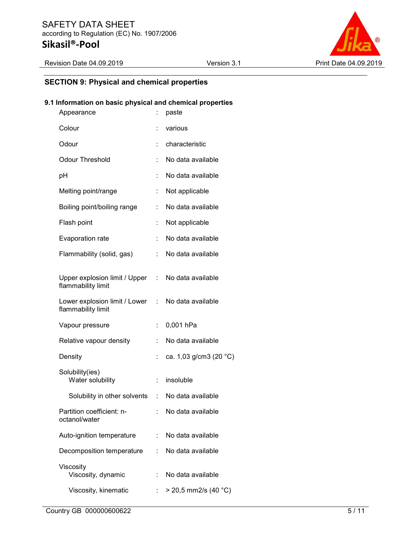

## SECTION 9: Physical and chemical properties

## 9.1 Information on basic physical and chemical properties

| Appearance                                                              | t.                           | paste                  |
|-------------------------------------------------------------------------|------------------------------|------------------------|
| Colour                                                                  |                              | various                |
| Odour                                                                   |                              | characteristic         |
| <b>Odour Threshold</b>                                                  | ÷                            | No data available      |
| pH                                                                      |                              | No data available      |
| Melting point/range                                                     | t.                           | Not applicable         |
| Boiling point/boiling range                                             | t.                           | No data available      |
| Flash point                                                             |                              | Not applicable         |
| Evaporation rate                                                        |                              | No data available      |
| Flammability (solid, gas)                                               | t.                           | No data available      |
| Upper explosion limit / Upper : No data available<br>flammability limit |                              |                        |
| Lower explosion limit / Lower : No data available<br>flammability limit |                              |                        |
| Vapour pressure                                                         | $\ddot{\phantom{a}}$         | 0,001 hPa              |
| Relative vapour density                                                 |                              | No data available      |
| Density                                                                 | ÷                            | ca. 1,03 g/cm3 (20 °C) |
| Solubility(ies)<br>Water solubility                                     | $\mathcal{L}_{\mathrm{max}}$ | insoluble              |
| Solubility in other solvents : No data available                        |                              |                        |
| Partition coefficient: n-<br>octanol/water                              |                              | No data available      |
| Auto-ignition temperature                                               |                              | No data available      |
| Decomposition temperature                                               | $\mathbb{R}^{\mathbb{Z}}$    | No data available      |
| Viscosity<br>Viscosity, dynamic                                         | ÷.                           | No data available      |
| Viscosity, kinematic                                                    | t.                           | $>$ 20,5 mm2/s (40 °C) |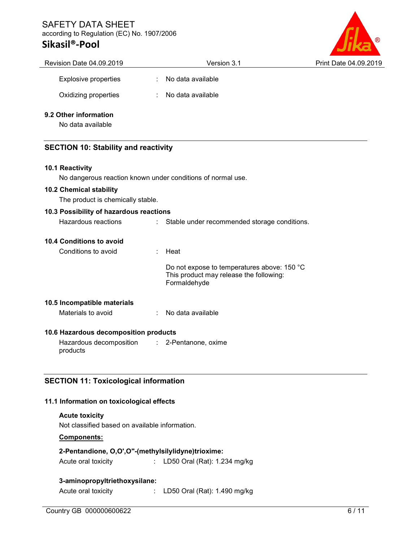# SAFETY DATA SHEET according to Regulation (EC) No. 1907/2006

# Sikasil®-Pool



| Revision Date 04.09.2019                                    | Version 3.1                                                                                            | Print Date 04.09.2019 |
|-------------------------------------------------------------|--------------------------------------------------------------------------------------------------------|-----------------------|
| <b>Explosive properties</b>                                 | No data available                                                                                      |                       |
| Oxidizing properties                                        | No data available                                                                                      |                       |
| 9.2 Other information                                       |                                                                                                        |                       |
| No data available                                           |                                                                                                        |                       |
| <b>SECTION 10: Stability and reactivity</b>                 |                                                                                                        |                       |
| 10.1 Reactivity                                             |                                                                                                        |                       |
| No dangerous reaction known under conditions of normal use. |                                                                                                        |                       |
| 10.2 Chemical stability                                     |                                                                                                        |                       |
| The product is chemically stable.                           |                                                                                                        |                       |
| 10.3 Possibility of hazardous reactions                     |                                                                                                        |                       |
| Hazardous reactions                                         | Stable under recommended storage conditions.                                                           |                       |
| 10.4 Conditions to avoid                                    |                                                                                                        |                       |
| Conditions to avoid                                         | Heat                                                                                                   |                       |
|                                                             | Do not expose to temperatures above: 150 °C<br>This product may release the following:<br>Formaldehyde |                       |
| 10.5 Incompatible materials                                 |                                                                                                        |                       |
| Materials to avoid                                          | No data available                                                                                      |                       |
| 10.6 Hazardous decomposition products                       |                                                                                                        |                       |
| Hazardous decomposition<br>÷.<br>products                   | 2-Pentanone, oxime                                                                                     |                       |
| <b>SECTION 11: Toxicological information</b>                |                                                                                                        |                       |

## 11.1 Information on toxicological effects

Acute toxicity

Not classified based on available information.

## Components:

## 2-Pentandione, O,O',O"-(methylsilylidyne)trioxime:

Acute oral toxicity : LD50 Oral (Rat): 1.234 mg/kg

#### 3-aminopropyltriethoxysilane:

Acute oral toxicity : LD50 Oral (Rat): 1.490 mg/kg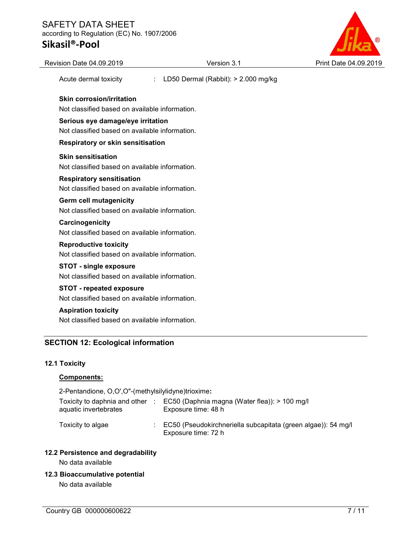# SAFETY DATA SHEET according to Regulation (EC) No. 1907/2006

# Sikasil®-Pool



| Revision Date 04.09.2019                                                            | Version 3.1                               | Print Date 04.09.2019 |
|-------------------------------------------------------------------------------------|-------------------------------------------|-----------------------|
| Acute dermal toxicity                                                               | LD50 Dermal (Rabbit): > 2.000 mg/kg<br>÷. |                       |
| <b>Skin corrosion/irritation</b>                                                    |                                           |                       |
| Not classified based on available information.                                      |                                           |                       |
| Serious eye damage/eye irritation<br>Not classified based on available information. |                                           |                       |
| Respiratory or skin sensitisation                                                   |                                           |                       |
| <b>Skin sensitisation</b>                                                           |                                           |                       |
| Not classified based on available information.                                      |                                           |                       |
| <b>Respiratory sensitisation</b>                                                    |                                           |                       |
| Not classified based on available information.                                      |                                           |                       |
| Germ cell mutagenicity                                                              |                                           |                       |
| Not classified based on available information.                                      |                                           |                       |
| Carcinogenicity                                                                     |                                           |                       |
| Not classified based on available information.                                      |                                           |                       |
| <b>Reproductive toxicity</b>                                                        |                                           |                       |
| Not classified based on available information.                                      |                                           |                       |
| <b>STOT - single exposure</b>                                                       |                                           |                       |
| Not classified based on available information.                                      |                                           |                       |
| <b>STOT - repeated exposure</b>                                                     |                                           |                       |
| Not classified based on available information.                                      |                                           |                       |
| <b>Aspiration toxicity</b>                                                          |                                           |                       |
| Not classified based on available information.                                      |                                           |                       |

## 12.1 Toxicity

### Components:

| 2-Pentandione, O,O',O"-(methylsilylidyne)trioxime:       |                                                                                      |
|----------------------------------------------------------|--------------------------------------------------------------------------------------|
| Toxicity to daphnia and other :<br>aquatic invertebrates | EC50 (Daphnia magna (Water flea)): $> 100$ mg/l<br>Exposure time: 48 h               |
| Toxicity to algae                                        | EC50 (Pseudokirchneriella subcapitata (green algae)): 54 mg/l<br>Exposure time: 72 h |

## 12.2 Persistence and degradability

No data available

### 12.3 Bioaccumulative potential

No data available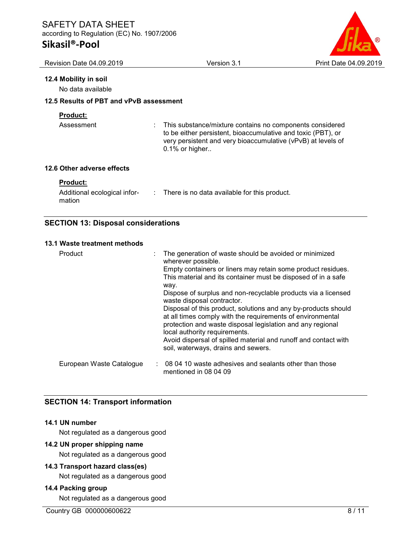# Sikasil®-Pool



| Revision Date 04.09.2019                                                              | Version 3.1                                                                                                                                                                                                   | Print Date 04.09.2019 |
|---------------------------------------------------------------------------------------|---------------------------------------------------------------------------------------------------------------------------------------------------------------------------------------------------------------|-----------------------|
| 12.4 Mobility in soil<br>No data available<br>12.5 Results of PBT and vPvB assessment |                                                                                                                                                                                                               |                       |
| <b>Product:</b><br>Assessment                                                         | This substance/mixture contains no components considered<br>to be either persistent, bioaccumulative and toxic (PBT), or<br>very persistent and very bioaccumulative (vPvB) at levels of<br>$0.1\%$ or higher |                       |
| 12.6 Other adverse effects                                                            |                                                                                                                                                                                                               |                       |
| <b>Product:</b><br>Additional ecological infor-<br>mation                             | : There is no data available for this product.                                                                                                                                                                |                       |

## SECTION 13: Disposal considerations

#### 13.1 Waste treatment methods

| Product                  | The generation of waste should be avoided or minimized<br>wherever possible.<br>Empty containers or liners may retain some product residues.<br>This material and its container must be disposed of in a safe<br>way.<br>Dispose of surplus and non-recyclable products via a licensed<br>waste disposal contractor.<br>Disposal of this product, solutions and any by-products should<br>at all times comply with the requirements of environmental<br>protection and waste disposal legislation and any regional |
|--------------------------|--------------------------------------------------------------------------------------------------------------------------------------------------------------------------------------------------------------------------------------------------------------------------------------------------------------------------------------------------------------------------------------------------------------------------------------------------------------------------------------------------------------------|
|                          | local authority requirements.<br>Avoid dispersal of spilled material and runoff and contact with<br>soil, waterways, drains and sewers.                                                                                                                                                                                                                                                                                                                                                                            |
| European Waste Catalogue | : 08 04 10 waste adhesives and sealants other than those<br>mentioned in 08 04 09                                                                                                                                                                                                                                                                                                                                                                                                                                  |

## SECTION 14: Transport information

## 14.1 UN number

Not regulated as a dangerous good

#### 14.2 UN proper shipping name

Not regulated as a dangerous good

#### 14.3 Transport hazard class(es)

Not regulated as a dangerous good

### 14.4 Packing group

Not regulated as a dangerous good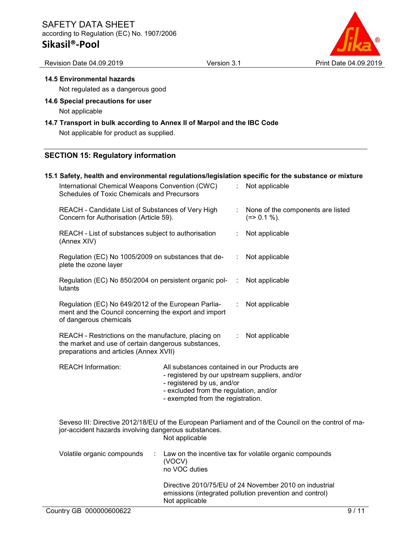Revision Date 04.09.2019 Version 3.1 Print Date 04.09.2019

#### 14.5 Environmental hazards

Not regulated as a dangerous good

14.6 Special precautions for user Not applicable

#### 14.7 Transport in bulk according to Annex II of Marpol and the IBC Code

Not applicable for product as supplied.

#### SECTION 15: Regulatory information

# 15.1 Safety, health and environmental regulations/legislation specific for the substance or mixture

|                                                                                                                                                                        | International Chemical Weapons Convention (CWC)<br>Schedules of Toxic Chemicals and Precursors                                                                                 |                                                                                                                                                                                                             |    | Not applicable                                                                                                    |  |  |
|------------------------------------------------------------------------------------------------------------------------------------------------------------------------|--------------------------------------------------------------------------------------------------------------------------------------------------------------------------------|-------------------------------------------------------------------------------------------------------------------------------------------------------------------------------------------------------------|----|-------------------------------------------------------------------------------------------------------------------|--|--|
|                                                                                                                                                                        | REACH - Candidate List of Substances of Very High<br>Concern for Authorisation (Article 59).                                                                                   |                                                                                                                                                                                                             | ÷. | None of the components are listed<br>$(=>0.1\%).$                                                                 |  |  |
|                                                                                                                                                                        | REACH - List of substances subject to authorisation<br>(Annex XIV)                                                                                                             |                                                                                                                                                                                                             |    | Not applicable                                                                                                    |  |  |
|                                                                                                                                                                        | Regulation (EC) No 1005/2009 on substances that de-<br>plete the ozone layer                                                                                                   |                                                                                                                                                                                                             | t. | Not applicable                                                                                                    |  |  |
|                                                                                                                                                                        | Regulation (EC) No 850/2004 on persistent organic pol-<br>lutants                                                                                                              |                                                                                                                                                                                                             | ÷  | Not applicable                                                                                                    |  |  |
| Regulation (EC) No 649/2012 of the European Parlia-<br>ment and the Council concerning the export and import<br>of dangerous chemicals                                 |                                                                                                                                                                                |                                                                                                                                                                                                             | ÷. | Not applicable                                                                                                    |  |  |
| REACH - Restrictions on the manufacture, placing on<br>Not applicable<br>the market and use of certain dangerous substances,<br>preparations and articles (Annex XVII) |                                                                                                                                                                                |                                                                                                                                                                                                             |    |                                                                                                                   |  |  |
|                                                                                                                                                                        | <b>REACH Information:</b>                                                                                                                                                      | All substances contained in our Products are<br>- registered by our upstream suppliers, and/or<br>- registered by us, and/or<br>- excluded from the regulation, and/or<br>- exempted from the registration. |    |                                                                                                                   |  |  |
|                                                                                                                                                                        | Seveso III: Directive 2012/18/EU of the European Parliament and of the Council on the control of ma-<br>jor-accident hazards involving dangerous substances.<br>Not applicable |                                                                                                                                                                                                             |    |                                                                                                                   |  |  |
| Volatile organic compounds<br>Law on the incentive tax for volatile organic compounds<br>÷<br>(VOCV)<br>no VOC duties                                                  |                                                                                                                                                                                |                                                                                                                                                                                                             |    |                                                                                                                   |  |  |
|                                                                                                                                                                        |                                                                                                                                                                                | Not applicable                                                                                                                                                                                              |    | Directive 2010/75/EU of 24 November 2010 on industrial<br>emissions (integrated pollution prevention and control) |  |  |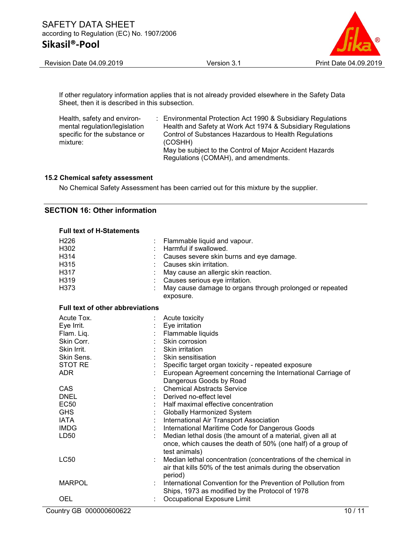

If other regulatory information applies that is not already provided elsewhere in the Safety Data Sheet, then it is described in this subsection.

| Health, safety and environ-   | : Environmental Protection Act 1990 & Subsidiary Regulations |
|-------------------------------|--------------------------------------------------------------|
| mental regulation/legislation | Health and Safety at Work Act 1974 & Subsidiary Regulations  |
| specific for the substance or | Control of Substances Hazardous to Health Regulations        |
| mixture:                      | (COSHH)                                                      |
|                               | May be subject to the Control of Major Accident Hazards      |
|                               | Regulations (COMAH), and amendments.                         |

#### 15.2 Chemical safety assessment

No Chemical Safety Assessment has been carried out for this mixture by the supplier.

#### SECTION 16: Other information

| <b>Full text of H-Statements</b>        |                                                                |
|-----------------------------------------|----------------------------------------------------------------|
| H <sub>226</sub>                        | Flammable liquid and vapour.                                   |
| H302                                    | Harmful if swallowed.                                          |
| H314                                    | Causes severe skin burns and eye damage.                       |
| H315                                    | Causes skin irritation.                                        |
| H317                                    | May cause an allergic skin reaction.                           |
| H319                                    | Causes serious eye irritation.                                 |
| H373                                    | May cause damage to organs through prolonged or repeated       |
|                                         | exposure.                                                      |
| <b>Full text of other abbreviations</b> |                                                                |
| Acute Tox.                              | Acute toxicity                                                 |
| Eye Irrit.                              | Eye irritation                                                 |
| Flam. Liq.                              | Flammable liquids                                              |
| Skin Corr.                              | Skin corrosion                                                 |
| Skin Irrit.                             | Skin irritation                                                |
| Skin Sens.                              | Skin sensitisation                                             |
| <b>STOT RE</b>                          | Specific target organ toxicity - repeated exposure             |
| <b>ADR</b>                              | European Agreement concerning the International Carriage of    |
|                                         | Dangerous Goods by Road                                        |
| CAS                                     | <b>Chemical Abstracts Service</b>                              |
| <b>DNEL</b>                             | Derived no-effect level                                        |
| <b>EC50</b>                             | Half maximal effective concentration                           |
| <b>GHS</b>                              | <b>Globally Harmonized System</b>                              |
| <b>IATA</b>                             | International Air Transport Association                        |
| <b>IMDG</b>                             | International Maritime Code for Dangerous Goods                |
| LD50                                    | Median lethal dosis (the amount of a material, given all at    |
|                                         | once, which causes the death of 50% (one half) of a group of   |
|                                         | test animals)                                                  |
| <b>LC50</b>                             | Median lethal concentration (concentrations of the chemical in |
|                                         | air that kills 50% of the test animals during the observation  |
|                                         | period)                                                        |
| <b>MARPOL</b>                           | International Convention for the Prevention of Pollution from  |
|                                         | Ships, 1973 as modified by the Protocol of 1978                |
| OEL                                     | Occupational Exposure Limit                                    |